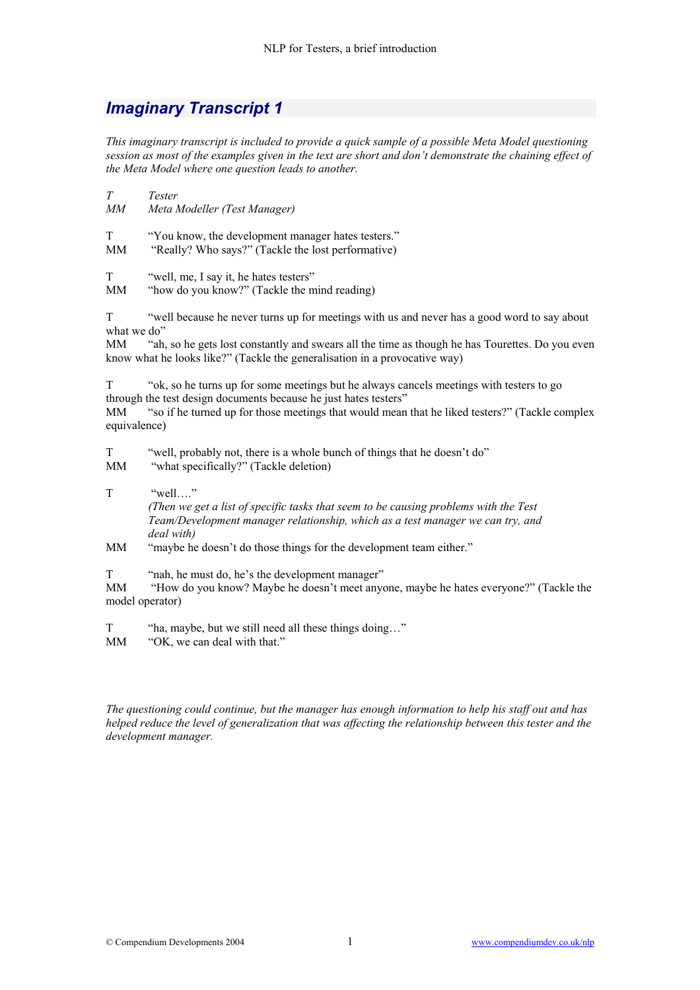## *Imaginary Transcript 1*

*This imaginary transcript is included to provide a quick sample of a possible Meta Model questioning session as most of the examples given in the text are short and don't demonstrate the chaining effect of the Meta Model where one question leads to another.* 

*T Tester MM Meta Modeller (Test Manager)* T "You know, the development manager hates testers." MM "Really? Who says?" (Tackle the lost performative) T "well, me, I say it, he hates testers" MM "how do you know?" (Tackle the mind reading) T "well because he never turns up for meetings with us and never has a good word to say about what we do" MM "ah, so he gets lost constantly and swears all the time as though he has Tourettes. Do you even know what he looks like?" (Tackle the generalisation in a provocative way) T "ok, so he turns up for some meetings but he always cancels meetings with testers to go through the test design documents because he just hates testers" MM "so if he turned up for those meetings that would mean that he liked testers?" (Tackle complex equivalence) T "well, probably not, there is a whole bunch of things that he doesn't do" MM "what specifically?" (Tackle deletion) T "well…" *(Then we get a list of specific tasks that seem to be causing problems with the Test Team/Development manager relationship, which as a test manager we can try, and deal with)* MM "maybe he doesn't do those things for the development team either."

T "nah, he must do, he's the development manager"

MM "How do you know? Maybe he doesn't meet anyone, maybe he hates everyone?" (Tackle the model operator)

T "ha, maybe, but we still need all these things doing..."

MM "OK, we can deal with that."

*The questioning could continue, but the manager has enough information to help his staff out and has helped reduce the level of generalization that was affecting the relationship between this tester and the development manager.*